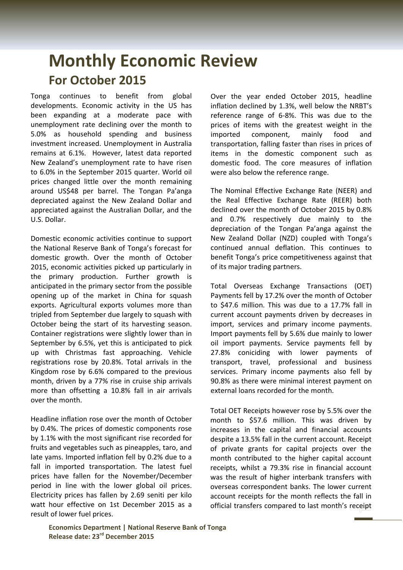## **Monthly Economic Review For October 2015**

Tonga continues to benefit from global developments. Economic activity in the US has been expanding at a moderate pace with unemployment rate declining over the month to 5.0% as household spending and business investment increased. Unemployment in Australia remains at 6.1%. However, latest data reported New Zealand's unemployment rate to have risen to 6.0% in the September 2015 quarter. World oil prices changed little over the month remaining around US\$48 per barrel. The Tongan Pa'anga depreciated against the New Zealand Dollar and appreciated against the Australian Dollar, and the U.S. Dollar.

Domestic economic activities continue to support the National Reserve Bank of Tonga's forecast for domestic growth. Over the month of October 2015, economic activities picked up particularly in the primary production. Further growth is anticipated in the primary sector from the possible opening up of the market in China for squash exports. Agricultural exports volumes more than tripled from September due largely to squash with October being the start of its harvesting season. Container registrations were slightly lower than in September by 6.5%, yet this is anticipated to pick up with Christmas fast approaching. Vehicle registrations rose by 20.8%. Total arrivals in the Kingdom rose by 6.6% compared to the previous month, driven by a 77% rise in cruise ship arrivals more than offsetting a 10.8% fall in air arrivals over the month.

Headline inflation rose over the month of October by 0.4%. The prices of domestic components rose by 1.1% with the most significant rise recorded for fruits and vegetables such as pineapples, taro, and late yams. Imported inflation fell by 0.2% due to a fall in imported transportation. The latest fuel prices have fallen for the November/December period in line with the lower global oil prices. Electricity prices has fallen by 2.69 seniti per kilo watt hour effective on 1st December 2015 as a result of lower fuel prices.

Over the year ended October 2015, headline inflation declined by 1.3%, well below the NRBT's reference range of 6-8%. This was due to the prices of items with the greatest weight in the imported component, mainly food and transportation, falling faster than rises in prices of items in the domestic component such as domestic food. The core measures of inflation were also below the reference range.

The Nominal Effective Exchange Rate (NEER) and the Real Effective Exchange Rate (REER) both declined over the month of October 2015 by 0.8% and 0.7% respectively due mainly to the depreciation of the Tongan Pa'anga against the New Zealand Dollar (NZD) coupled with Tonga's continued annual deflation. This continues to benefit Tonga's price competitiveness against that of its major trading partners.

Total Overseas Exchange Transactions (OET) Payments fell by 17.2% over the month of October to \$47.6 million. This was due to a 17.7% fall in current account payments driven by decreases in import, services and primary income payments. Import payments fell by 5.6% due mainly to lower oil import payments. Service payments fell by 27.8% coniciding with lower payments of transport, travel, professional and business services. Primary income payments also fell by 90.8% as there were minimal interest payment on external loans recorded for the month.

Total OET Receipts however rose by 5.5% over the month to \$57.6 million. This was driven by increases in the capital and financial accounts despite a 13.5% fall in the current account. Receipt of private grants for capital projects over the month contributed to the higher capital account receipts, whilst a 79.3% rise in financial account was the result of higher interbank transfers with overseas correspondent banks. The lower current account receipts for the month reflects the fall in official transfers compared to last month's receipt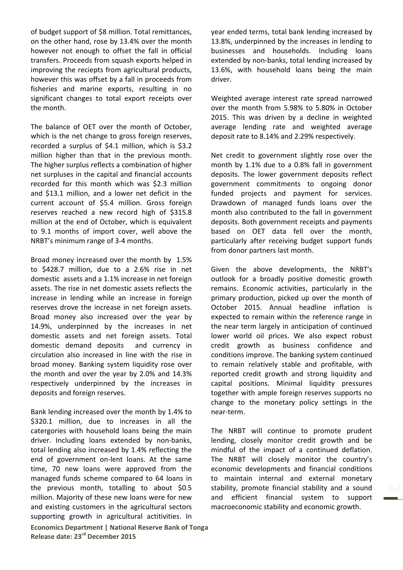of budget support of \$8 million. Total remittances, on the other hand, rose by 13.4% over the month however not enough to offset the fall in official transfers. Proceeds from squash exports helped in improving the reciepts from agricultural products, however this was offset by a fall in proceeds from fisheries and marine exports, resulting in no significant changes to total export receipts over the month.

The balance of OET over the month of October, which is the net change to gross foreign reserves, recorded a surplus of \$4.1 million, which is \$3.2 million higher than that in the previous month. The higher surplus reflects a combination of higher net surpluses in the capital and financial accounts recorded for this month which was \$2.3 million and \$13.1 million, and a lower net deficit in the current account of \$5.4 million. Gross foreign reserves reached a new record high of \$315.8 million at the end of October, which is equivalent to 9.1 months of import cover, well above the NRBT's minimum range of 3-4 months.

Broad money increased over the month by 1.5% to \$428.7 million, due to a 2.6% rise in net domestic assets and a 1.1% increase in net foreign assets. The rise in net domestic assets reflects the increase in lending while an increase in foreign reserves drove the increase in net foreign assets. Broad money also increased over the year by 14.9%, underpinned by the increases in net domestic assets and net foreign assets. Total domestic demand deposits and currency in circulation also increased in line with the rise in broad money. Banking system liquidity rose over the month and over the year by 2.0% and 14.3% respectively underpinned by the increases in deposits and foreign reserves.

Bank lending increased over the month by 1.4% to \$320.1 million, due to increases in all the catergories with household loans being the main driver. Including loans extended by non-banks, total lending also increased by 1.4% reflecting the end of government on-lent loans. At the same time, 70 new loans were approved from the managed funds scheme compared to 64 loans in the previous month, totalling to about \$0.5 million. Majority of these new loans were for new and existing customers in the agricultural sectors supporting growth in agricultural actitivities. In

**Economics Department | National Reserve Bank of Tonga Release date: 23rd December 2015**

year ended terms, total bank lending increased by 13.8%, underpinned by the increases in lending to businesses and households. Including loans extended by non-banks, total lending increased by 13.6%, with household loans being the main driver.

Weighted average interest rate spread narrowed over the month from 5.98% to 5.80% in October 2015. This was driven by a decline in weighted average lending rate and weighted average deposit rate to 8.14% and 2.29% respectively.

Net credit to government slightly rose over the month by 1.1% due to a 0.8% fall in government deposits. The lower government deposits reflect government commitments to ongoing donor funded projects and payment for services. Drawdown of managed funds loans over the month also contributed to the fall in government deposits. Both government receipts and payments based on OET data fell over the month, particularly after receiving budget support funds from donor partners last month.

Given the above developments, the NRBT's outlook for a broadly positive domestic growth remains. Economic activities, particularly in the primary production, picked up over the month of October 2015. Annual headline inflation is expected to remain within the reference range in the near term largely in anticipation of continued lower world oil prices. We also expect robust credit growth as business confidence and conditions improve. The banking system continued to remain relatively stable and profitable, with reported credit growth and strong liquidity and capital positions. Minimal liquidity pressures together with ample foreign reserves supports no change to the monetary policy settings in the near-term.

The NRBT will continue to promote prudent lending, closely monitor credit growth and be mindful of the impact of a continued deflation. The NRBT will closely monitor the country's economic developments and financial conditions to maintain internal and external monetary stability, promote financial stability and a sound and efficient financial system to support macroeconomic stability and economic growth.